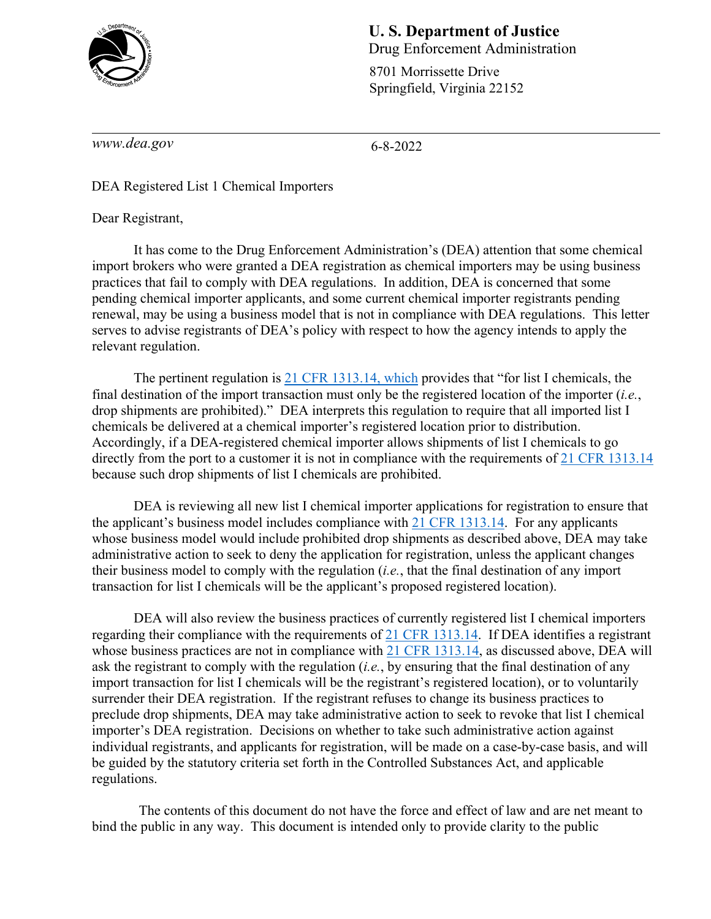

## **U. S. Department of Justice**  Drug Enforcement Administration

8701 Morrissette Drive Springfield, Virginia 22152

*www.dea.gov* 

6-8-2022

DEA Registered List 1 Chemical Importers

Dear Registrant,

It has come to the Drug Enforcement Administration's (DEA) attention that some chemical import brokers who were granted a DEA registration as chemical importers may be using business practices that fail to comply with DEA regulations. In addition, DEA is concerned that some pending chemical importer applicants, and some current chemical importer registrants pending renewal, may be using a business model that is not in compliance with DEA regulations. This letter serves to advise registrants of DEA's policy with respect to how the agency intends to apply the relevant regulation.

The pertinent regulation is [21 CFR 1313.14,](https://www.ecfr.gov/current/title-21/chapter-II/part-1313/subject-group-ECFRbbde7173ce43d2f/section-1313.14) which provides that "for list I chemicals, the final destination of the import transaction must only be the registered location of the importer (*i.e.*, drop shipments are prohibited)." DEA interprets this regulation to require that all imported list I chemicals be delivered at a chemical importer's registered location prior to distribution. Accordingly, if a DEA-registered chemical importer allows shipments of list I chemicals to go directly from the port to a customer it is not in compliance with the requirements of [21 CFR 1313.14](https://www.ecfr.gov/current/title-21/chapter-II/part-1313/subject-group-ECFRbbde7173ce43d2f/section-1313.14) because such drop shipments of list I chemicals are prohibited.

DEA is reviewing all new list I chemical importer applications for registration to ensure that the applicant's business model includes compliance with [21 CFR 1313.14.](https://www.ecfr.gov/current/title-21/chapter-II/part-1313/subject-group-ECFRbbde7173ce43d2f/section-1313.14) For any applicants whose business model would include prohibited drop shipments as described above, DEA may take administrative action to seek to deny the application for registration, unless the applicant changes their business model to comply with the regulation (*i.e.*, that the final destination of any import transaction for list I chemicals will be the applicant's proposed registered location).

DEA will also review the business practices of currently registered list I chemical importers regarding their compliance with the requirements of [21 CFR 1313.14.](https://www.ecfr.gov/current/title-21/chapter-II/part-1313/subject-group-ECFRbbde7173ce43d2f/section-1313.14) If DEA identifies a registrant whose business practices are not in compliance with  $21$  CFR 1313.14, as discussed above, DEA will ask the registrant to comply with the regulation (*i.e.*, by ensuring that the final destination of any import transaction for list I chemicals will be the registrant's registered location), or to voluntarily surrender their DEA registration. If the registrant refuses to change its business practices to preclude drop shipments, DEA may take administrative action to seek to revoke that list I chemical importer's DEA registration. Decisions on whether to take such administrative action against individual registrants, and applicants for registration, will be made on a case-by-case basis, and will be guided by the statutory criteria set forth in the Controlled Substances Act, and applicable regulations.

The contents of this document do not have the force and effect of law and are net meant to bind the public in any way. This document is intended only to provide clarity to the public